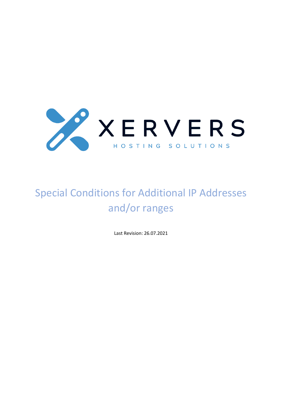

# Special Conditions for Additional IP Addresses and/or ranges

Last Revision: 26.07.2021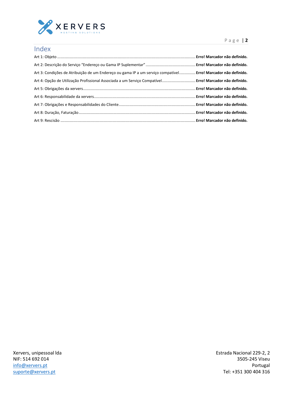

| Index                                                                                                         |  |
|---------------------------------------------------------------------------------------------------------------|--|
|                                                                                                               |  |
|                                                                                                               |  |
| Art 3: Condições de Atribuição de um Endereco ou gama IP a um servico compatível Erro! Marcador não definido. |  |
| Art 4: Opção de Utilização Profissional Associada a um Servico Compatível Erro! Marcador não definido.        |  |
|                                                                                                               |  |
|                                                                                                               |  |
|                                                                                                               |  |
|                                                                                                               |  |
|                                                                                                               |  |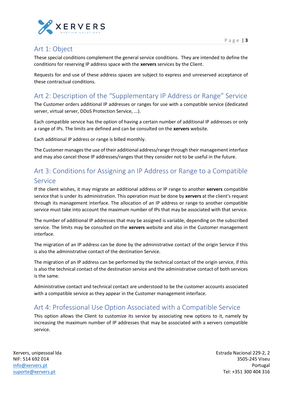

#### Art 1: Object

These special conditions complement the general service conditions. They are intended to define the conditions for reserving IP address space with the **xervers** services by the Client.

Requests for and use of these address spaces are subject to express and unreserved acceptance of these contractual conditions.

### Art 2: Description of the "Supplementary IP Address or Range" Service

The Customer orders additional IP addresses or ranges for use with a compatible service (dedicated server, virtual server, DDoS Protection Service, ...).

Each compatible service has the option of having a certain number of additional IP addresses or only a range of IPs. The limits are defined and can be consulted on the **xervers** website.

Each additional IP address or range is billed monthly.

The Customer manages the use of their additional address/range through their management interface and may also cancel those IP addresses/ranges that they consider not to be useful in the future.

# Art 3: Conditions for Assigning an IP Address or Range to a Compatible Service

If the client wishes, it may migrate an additional address or IP range to another **xervers** compatible service that is under its administration. This operation must be done by **xervers** at the client's request through its management interface. The allocation of an IP address or range to another compatible service must take into account the maximum number of IPs that may be associated with that service.

The number of additional IP addresses that may be assigned is variable, depending on the subscribed service. The limits may be consulted on the **xervers** website and also in the Customer management interface.

The migration of an IP address can be done by the administrative contact of the origin Service if this is also the administrative contact of the destination Service.

The migration of an IP address can be performed by the technical contact of the origin service, if this is also the technical contact of the destination service and the administrative contact of both services is the same.

Administrative contact and technical contact are understood to be the customer accounts associated with a compatible service as they appear in the Customer management interface.

#### Art 4: Professional Use Option Associated with a Compatible Service

This option allows the Client to customize its service by associating new options to it, namely by increasing the maximum number of IP addresses that may be associated with a xervers compatible service.

Xervers, unipessoal lda NIF: 514 692 014 [info@xervers.pt](mailto:info@xervers.pt) [suporte@xervers.pt](mailto:suporte@xervers.pt)

Estrada Nacional 229-2, 2 3505-245 Viseu Portugal Tel: +351 300 404 316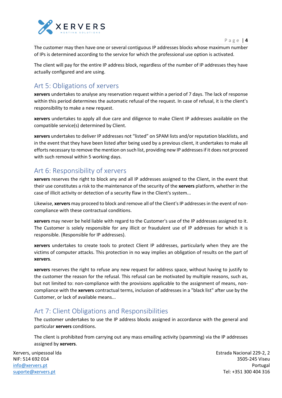

P a g e | **4**

The customer may then have one or several contiguous IP addresses blocks whose maximum number of IPs is determined according to the service for which the professional use option is activated.

The client will pay for the entire IP address block, regardless of the number of IP addresses they have actually configured and are using.

### Art 5: Obligations of xervers

**xervers** undertakes to analyse any reservation request within a period of 7 days. The lack of response within this period determines the automatic refusal of the request. In case of refusal, it is the client's responsibility to make a new request.

**xervers** undertakes to apply all due care and diligence to make Client IP addresses available on the compatible service(s) determined by Client.

**xervers** undertakes to deliver IP addresses not "listed" on SPAM lists and/or reputation blacklists, and in the event that they have been listed after being used by a previous client, it undertakes to make all efforts necessary to remove the mention on such list, providing new IP addresses if it does not proceed with such removal within 5 working days.

## Art 6: Responsibility of xervers

**xervers** reserves the right to block any and all IP addresses assigned to the Client, in the event that their use constitutes a risk to the maintenance of the security of the **xervers** platform, whether in the case of illicit activity or detection of a security flaw in the Client's system...

Likewise, **xervers** may proceed to block and remove all of the Client's IP addresses in the event of noncompliance with these contractual conditions.

**xervers** may never be held liable with regard to the Customer's use of the IP addresses assigned to it. The Customer is solely responsible for any illicit or fraudulent use of IP addresses for which it is responsible. (Responsible for IP addresses).

**xervers** undertakes to create tools to protect Client IP addresses, particularly when they are the victims of computer attacks. This protection in no way implies an obligation of results on the part of **xervers**.

**xervers** reserves the right to refuse any new request for address space, without having to justify to the customer the reason for the refusal. This refusal can be motivated by multiple reasons, such as, but not limited to: non-compliance with the provisions applicable to the assignment of means, noncompliance with the **xervers** contractual terms, inclusion of addresses in a "black list" after use by the Customer, or lack of available means...

## Art 7: Client Obligations and Responsibilities

The customer undertakes to use the IP address blocks assigned in accordance with the general and particular **xervers** conditions.

The client is prohibited from carrying out any mass emailing activity (spamming) via the IP addresses assigned by **xervers**.

Xervers, unipessoal lda NIF: 514 692 014 [info@xervers.pt](mailto:info@xervers.pt) [suporte@xervers.pt](mailto:suporte@xervers.pt)

Estrada Nacional 229-2, 2 3505-245 Viseu Portugal Tel: +351 300 404 316